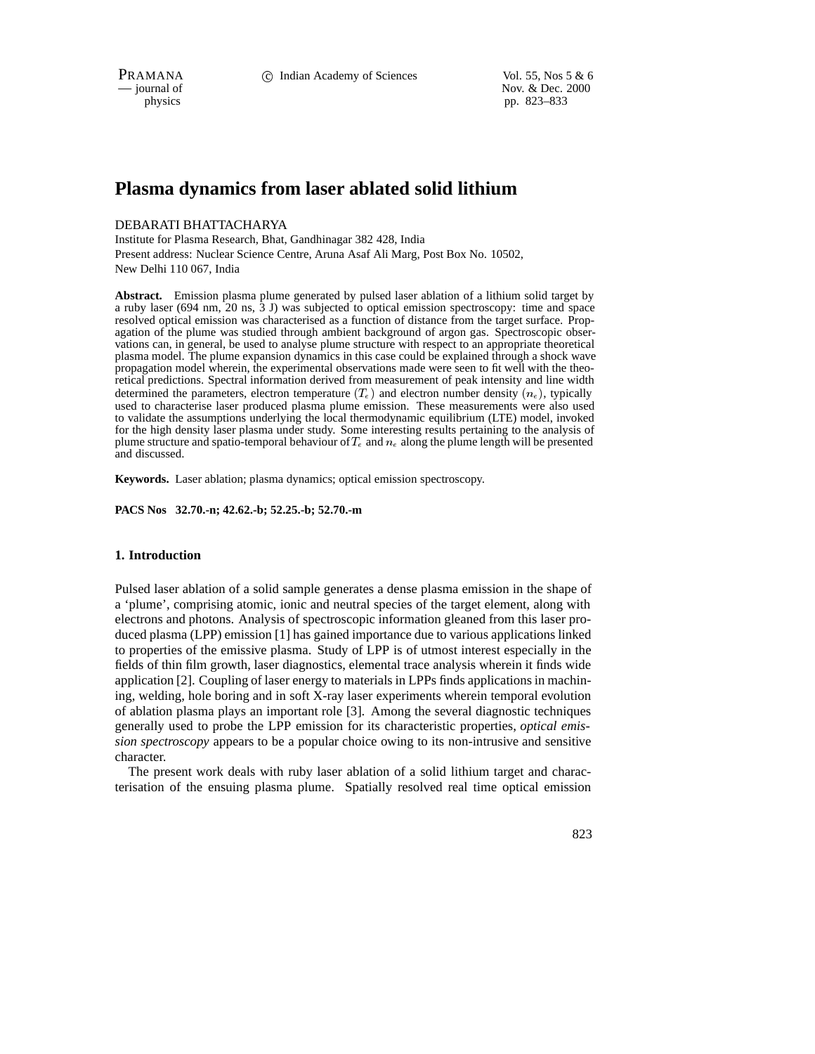PRAMANA **c** Indian Academy of Sciences Vol. 55, Nos 5 & 6<br>
— journal of Nov. & Dec. 2000 Nov. & Dec. 2000 physics pp. 823–833

# **Plasma dynamics from laser ablated solid lithium**

## DEBARATI BHATTACHARYA

Institute for Plasma Research, Bhat, Gandhinagar 382 428, India Present address: Nuclear Science Centre, Aruna Asaf Ali Marg, Post Box No. 10502, New Delhi 110 067, India

**Abstract.** Emission plasma plume generated by pulsed laser ablation of a lithium solid target by a ruby laser (694 nm, 20 ns, 3 J) was subjected to optical emission spectroscopy: time and space resolved optical emission was characterised as a function of distance from the target surface. Propagation of the plume was studied through ambient background of argon gas. Spectroscopic observations can, in general, be used to analyse plume structure with respect to an appropriate theoretical plasma model. The plume expansion dynamics in this case could be explained through a shock wave propagation model wherein, the experimental observations made were seen to fit well with the theoretical predictions. Spectral information derived from measurement of peak intensity and line width determined the parameters, electron temperature  $(T_e)$  and electron number density  $(n_e)$ , typically used to characterise laser produced plasma plume emission. These measurements were also used to validate the assumptions underlying the local thermodynamic equilibrium (LTE) model, invoked for the high density laser plasma under study. Some interesting results pertaining to the analysis of plume structure and spatio-temporal behaviour of  $T_e$  and  $n_e$  along the plume length will be presented and discussed.

**Keywords.** Laser ablation; plasma dynamics; optical emission spectroscopy.

**PACS Nos 32.70.-n; 42.62.-b; 52.25.-b; 52.70.-m**

## **1. Introduction**

Pulsed laser ablation of a solid sample generates a dense plasma emission in the shape of a 'plume', comprising atomic, ionic and neutral species of the target element, along with electrons and photons. Analysis of spectroscopic information gleaned from this laser produced plasma (LPP) emission [1] has gained importance due to various applications linked to properties of the emissive plasma. Study of LPP is of utmost interest especially in the fields of thin film growth, laser diagnostics, elemental trace analysis wherein it finds wide application [2]. Coupling of laser energy to materials in LPPs finds applications in machining, welding, hole boring and in soft X-ray laser experiments wherein temporal evolution of ablation plasma plays an important role [3]. Among the several diagnostic techniques generally used to probe the LPP emission for its characteristic properties, *optical emission spectroscopy* appears to be a popular choice owing to its non-intrusive and sensitive character.

The present work deals with ruby laser ablation of a solid lithium target and characterisation of the ensuing plasma plume. Spatially resolved real time optical emission

823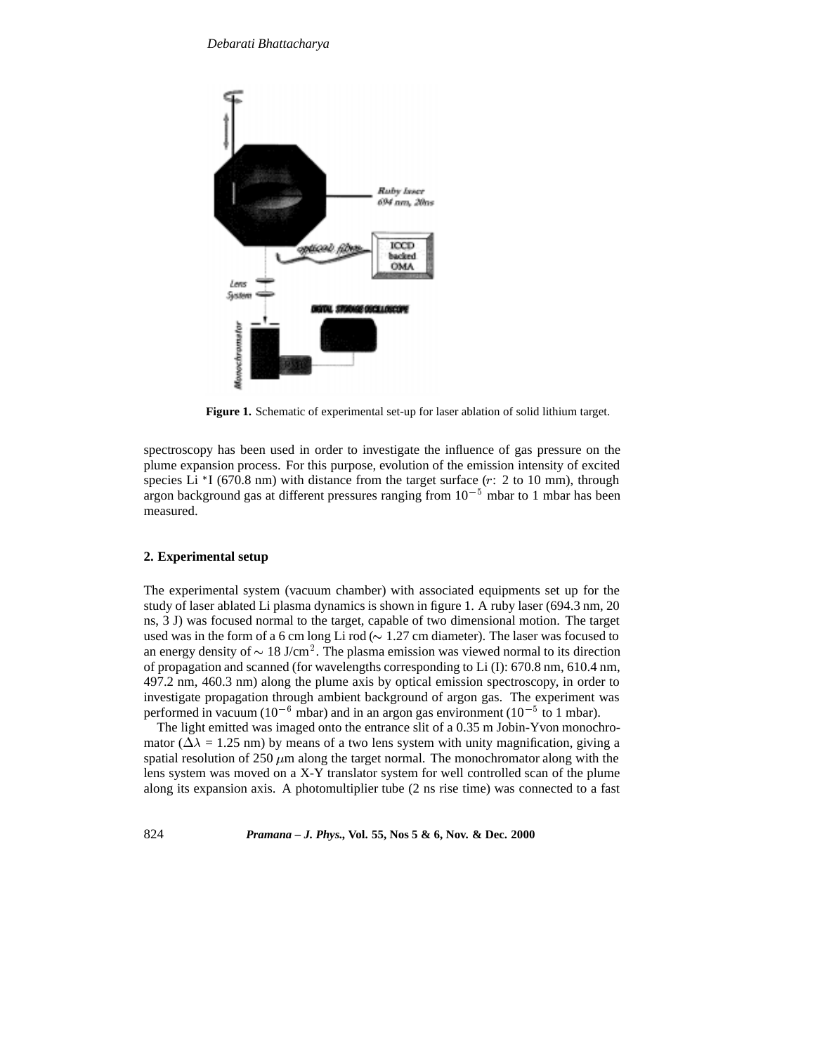

**Figure 1.** Schematic of experimental set-up for laser ablation of solid lithium target.

spectroscopy has been used in order to investigate the influence of gas pressure on the plume expansion process. For this purpose, evolution of the emission intensity of excited species Li  $*$ I (670.8 nm) with distance from the target surface ( $r: 2$  to 10 mm), through argon background gas at different pressures ranging from  $10^{-5}$  mbar to 1 mbar has been measured.

## **2. Experimental setup**

The experimental system (vacuum chamber) with associated equipments set up for the study of laser ablated Li plasma dynamics is shown in figure 1. A ruby laser (694.3 nm, 20 ns, 3 J) was focused normal to the target, capable of two dimensional motion. The target used was in the form of a 6 cm long Li rod ( $\sim 1.27$  cm diameter). The laser was focused to an energy density of  $\sim 18$  J/cm<sup>2</sup>. The plasma emission was viewed normal to its direction of propagation and scanned (for wavelengths corresponding to Li (I): 670.8 nm, 610.4 nm, 497.2 nm, 460.3 nm) along the plume axis by optical emission spectroscopy, in order to investigate propagation through ambient background of argon gas. The experiment was performed in vacuum ( $10^{-6}$  mbar) and in an argon gas environment ( $10^{-5}$  to 1 mbar).

The light emitted was imaged onto the entrance slit of a 0.35 m Jobin-Yvon monochromator ( $\Delta \lambda = 1.25$  nm) by means of a two lens system with unity magnification, giving a spatial resolution of 250  $\mu$ m along the target normal. The monochromator along with the lens system was moved on a X-Y translator system for well controlled scan of the plume along its expansion axis. A photomultiplier tube (2 ns rise time) was connected to a fast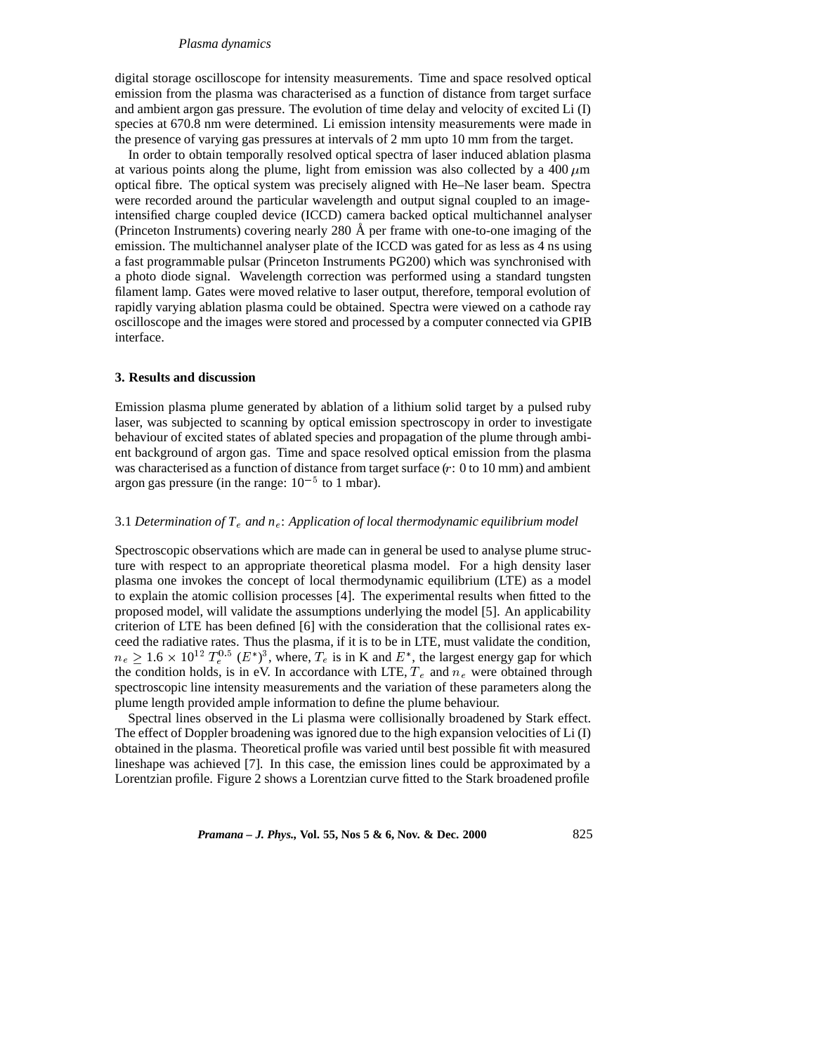#### *Plasma dynamics*

digital storage oscilloscope for intensity measurements. Time and space resolved optical emission from the plasma was characterised as a function of distance from target surface and ambient argon gas pressure. The evolution of time delay and velocity of excited Li (I) species at 670.8 nm were determined. Li emission intensity measurements were made in the presence of varying gas pressures at intervals of 2 mm upto 10 mm from the target.

In order to obtain temporally resolved optical spectra of laser induced ablation plasma at various points along the plume, light from emission was also collected by a 400  $\mu$ m optical fibre. The optical system was precisely aligned with He–Ne laser beam. Spectra were recorded around the particular wavelength and output signal coupled to an imageintensified charge coupled device (ICCD) camera backed optical multichannel analyser (Princeton Instruments) covering nearly 280  $\AA$  per frame with one-to-one imaging of the emission. The multichannel analyser plate of the ICCD was gated for as less as 4 ns using a fast programmable pulsar (Princeton Instruments PG200) which was synchronised with a photo diode signal. Wavelength correction was performed using a standard tungsten filament lamp. Gates were moved relative to laser output, therefore, temporal evolution of rapidly varying ablation plasma could be obtained. Spectra were viewed on a cathode ray oscilloscope and the images were stored and processed by a computer connected via GPIB interface.

#### **3. Results and discussion**

Emission plasma plume generated by ablation of a lithium solid target by a pulsed ruby laser, was subjected to scanning by optical emission spectroscopy in order to investigate behaviour of excited states of ablated species and propagation of the plume through ambient background of argon gas. Time and space resolved optical emission from the plasma was characterised as a function of distance from target surface (r: 0 to 10 mm) and ambient argon gas pressure (in the range:  $10^{-5}$  to 1 mbar).

## 3.1 *Determination of T* <sup>e</sup> *and n*e: *Application of local thermodynamic equilibrium model*

Spectroscopic observations which are made can in general be used to analyse plume structure with respect to an appropriate theoretical plasma model. For a high density laser plasma one invokes the concept of local thermodynamic equilibrium (LTE) as a model to explain the atomic collision processes [4]. The experimental results when fitted to the proposed model, will validate the assumptions underlying the model [5]. An applicability criterion of LTE has been defined [6] with the consideration that the collisional rates exceed the radiative rates. Thus the plasma, if it is to be in LTE, must validate the condition,  $n_e \geq 1.6 \times 10^{12} T_e^{0.5} (E^*)^3$ , where,  $T_e$  is in K and  $E^*$ , the largest energy gap for which the condition holds, is in eV. In accordance with LTE,  $T_e$  and  $n_e$  were obtained through spectroscopic line intensity measurements and the variation of these parameters along the plume length provided ample information to define the plume behaviour.

Spectral lines observed in the Li plasma were collisionally broadened by Stark effect. The effect of Doppler broadening was ignored due to the high expansion velocities of Li (I) obtained in the plasma. Theoretical profile was varied until best possible fit with measured lineshape was achieved [7]. In this case, the emission lines could be approximated by a Lorentzian profile. Figure 2 shows a Lorentzian curve fitted to the Stark broadened profile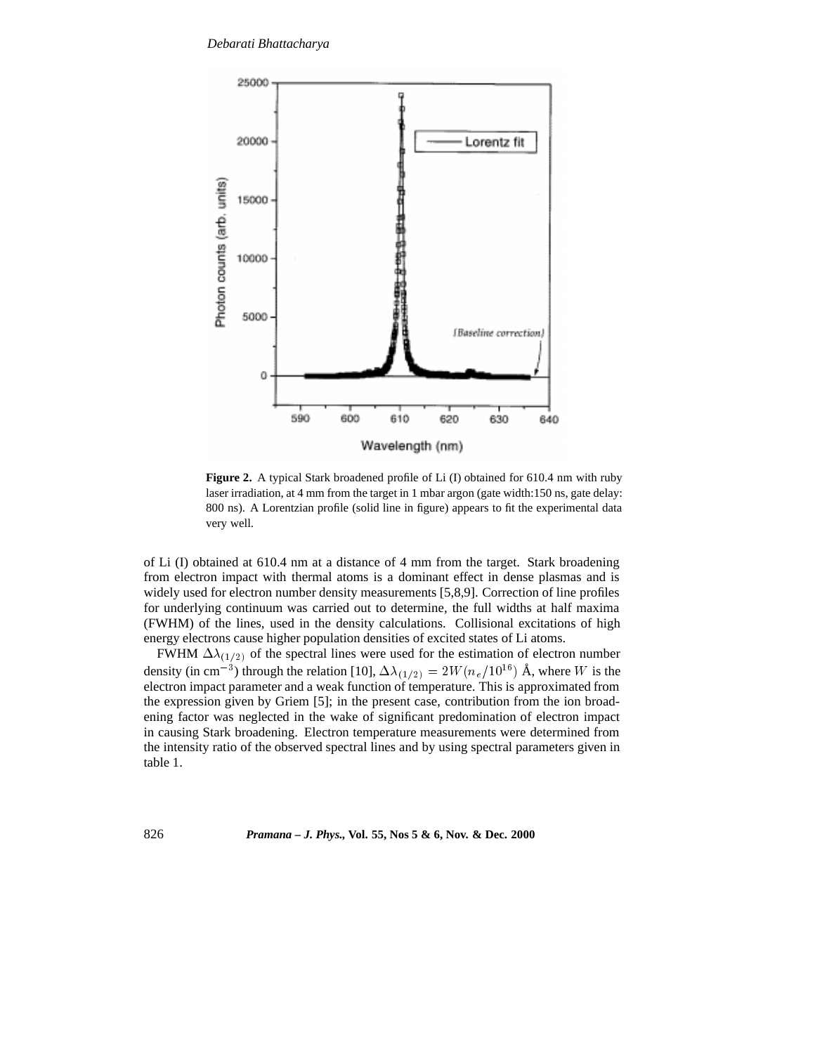

**Figure 2.** A typical Stark broadened profile of Li (I) obtained for 610.4 nm with ruby laser irradiation, at 4 mm from the target in 1 mbar argon (gate width:150 ns, gate delay: 800 ns). A Lorentzian profile (solid line in figure) appears to fit the experimental data very well.

of Li (I) obtained at 610.4 nm at a distance of 4 mm from the target. Stark broadening from electron impact with thermal atoms is a dominant effect in dense plasmas and is widely used for electron number density measurements [5,8,9]. Correction of line profiles for underlying continuum was carried out to determine, the full widths at half maxima (FWHM) of the lines, used in the density calculations. Collisional excitations of high energy electrons cause higher population densities of excited states of Li atoms.

FWHM  $\Delta\lambda_{(1/2)}$  of the spectral lines were used for the estimation of electron number density (in cm<sup>-3</sup>) through the relation [10],  $\Delta\lambda_{(1/2)} = 2W(n_e/10^{16})$  Å, where W is the electron impact parameter and a weak function of temperature. This is approximated from the expression given by Griem [5]; in the present case, contribution from the ion broadening factor was neglected in the wake of significant predomination of electron impact in causing Stark broadening. Electron temperature measurements were determined from the intensity ratio of the observed spectral lines and by using spectral parameters given in table 1.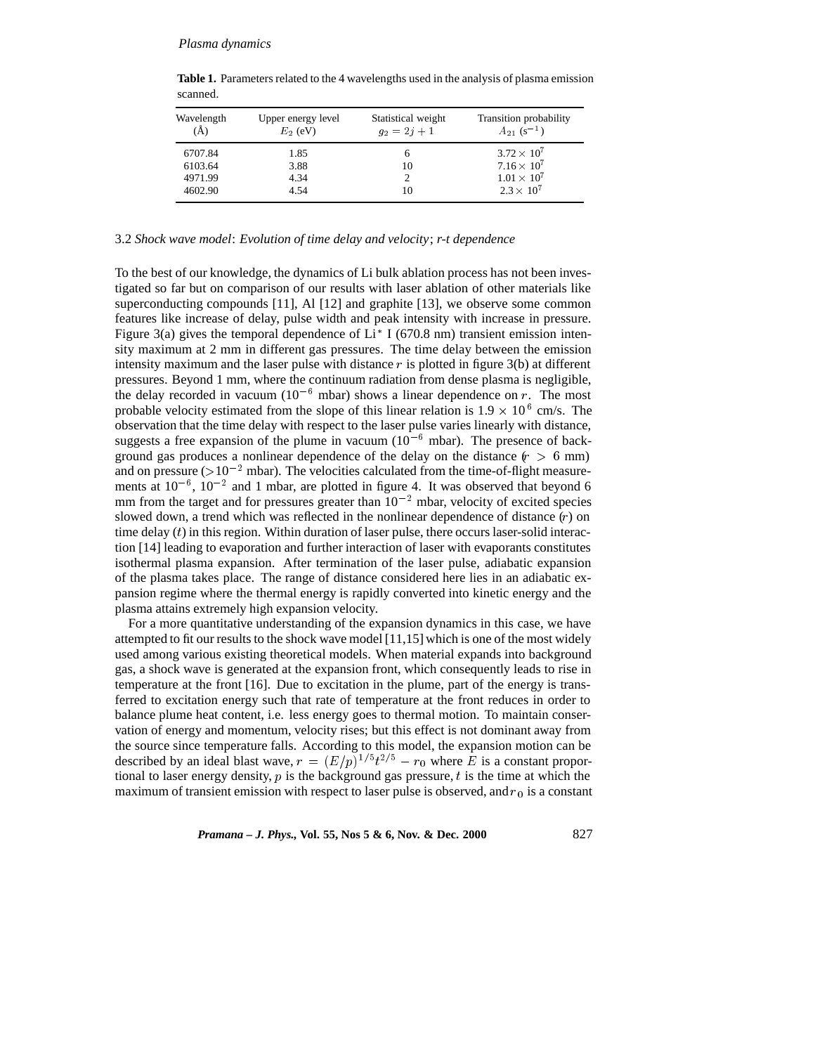| Wavelength<br>(A) | Upper energy level<br>$E_2$ (eV) | Statistical weight<br>$q_2 = 2i + 1$ | Transition probability<br>$A_{21}$ (s <sup>-1</sup> ) |
|-------------------|----------------------------------|--------------------------------------|-------------------------------------------------------|
| 6707.84           | 1.85                             | <sub>(</sub>                         | $3.72 \times 10^{7}$                                  |
| 6103.64           | 3.88                             | 10                                   | $7.16 \times 10^{7}$                                  |
| 4971.99           | 4.34                             |                                      | $1.01 \times 10^{7}$                                  |
| 4602.90           | 4.54                             | 10                                   | $2.3 \times 10^{7}$                                   |

**Table 1.** Parameters related to the 4 wavelengths used in the analysis of plasma emission scanned.

## 3.2 *Shock wave model*: *Evolution of time delay and velocity*; *r-t dependence*

To the best of our knowledge, the dynamics of Li bulk ablation process has not been investigated so far but on comparison of our results with laser ablation of other materials like superconducting compounds [11], Al [12] and graphite [13], we observe some common features like increase of delay, pulse width and peak intensity with increase in pressure. Figure 3(a) gives the temporal dependence of  $Li^*$  I (670.8 nm) transient emission intensity maximum at 2 mm in different gas pressures. The time delay between the emission intensity maximum and the laser pulse with distance  $r$  is plotted in figure 3(b) at different pressures. Beyond 1 mm, where the continuum radiation from dense plasma is negligible, the delay recorded in vacuum ( $10^{-6}$  mbar) shows a linear dependence on r. The most probable velocity estimated from the slope of this linear relation is  $1.9 \times 10^6$  cm/s. The observation that the time delay with respect to the laser pulse varies linearly with distance, suggests a free expansion of the plume in vacuum  $(10^{-6}$  mbar). The presence of background gas produces a nonlinear dependence of the delay on the distance  $(r > 6$  mm) and on pressure ( $>10^{-2}$  mbar). The velocities calculated from the time-of-flight measurements at  $10^{-6}$ ,  $10^{-2}$  and 1 mbar, are plotted in figure 4. It was observed that beyond 6 mm from the target and for pressures greater than  $10^{-2}$  mbar, velocity of excited species slowed down, a trend which was reflected in the nonlinear dependence of distance (r) on time delay  $(t)$  in this region. Within duration of laser pulse, there occurs laser-solid interaction [14] leading to evaporation and further interaction of laser with evaporants constitutes isothermal plasma expansion. After termination of the laser pulse, adiabatic expansion of the plasma takes place. The range of distance considered here lies in an adiabatic expansion regime where the thermal energy is rapidly converted into kinetic energy and the plasma attains extremely high expansion velocity.

For a more quantitative understanding of the expansion dynamics in this case, we have attempted to fit our results to the shock wave model [11,15] which is one of the most widely used among various existing theoretical models. When material expands into background gas, a shock wave is generated at the expansion front, which consequently leads to rise in temperature at the front [16]. Due to excitation in the plume, part of the energy is transferred to excitation energy such that rate of temperature at the front reduces in order to balance plume heat content, i.e. less energy goes to thermal motion. To maintain conservation of energy and momentum, velocity rises; but this effect is not dominant away from the source since temperature falls. According to this model, the expansion motion can be described by an ideal blast wave,  $r = (E/p)^{1/5}t^{2/5} - r_0$  where E is a constant proportional to laser energy density,  $p$  is the background gas pressure,  $t$  is the time at which the maximum of transient emission with respect to laser pulse is observed, and  $r_0$  is a constant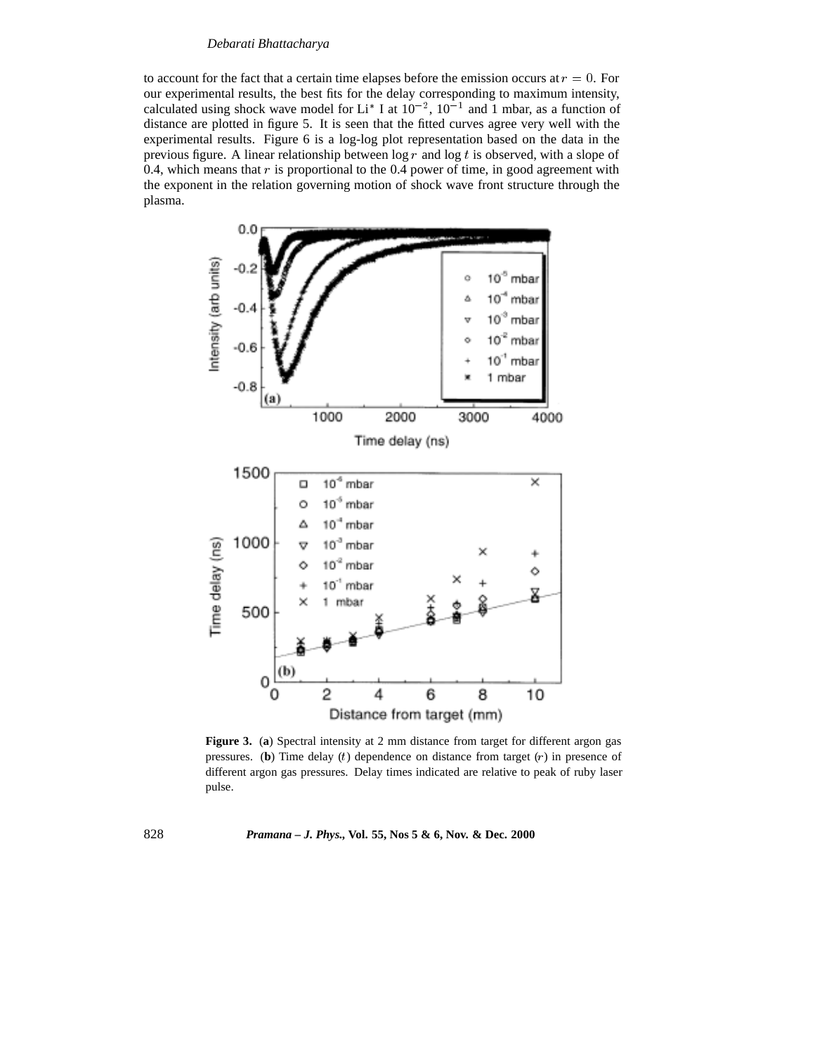#### *Debarati Bhattacharya*

to account for the fact that a certain time elapses before the emission occurs at  $r = 0$ . For our experimental results, the best fits for the delay corresponding to maximum intensity, calculated using shock wave model for Li<sup>\*</sup> I at  $10^{-2}$ ,  $10^{-1}$  and 1 mbar, as a function of distance are plotted in figure 5. It is seen that the fitted curves agree very well with the experimental results. Figure 6 is a log-log plot representation based on the data in the previous figure. A linear relationship between  $\log r$  and  $\log t$  is observed, with a slope of 0.4, which means that  $r$  is proportional to the 0.4 power of time, in good agreement with the exponent in the relation governing motion of shock wave front structure through the plasma.



**Figure 3.** (**a**) Spectral intensity at 2 mm distance from target for different argon gas pressures. (**b**) Time delay  $(t)$  dependence on distance from target  $(r)$  in presence of different argon gas pressures. Delay times indicated are relative to peak of ruby laser pulse.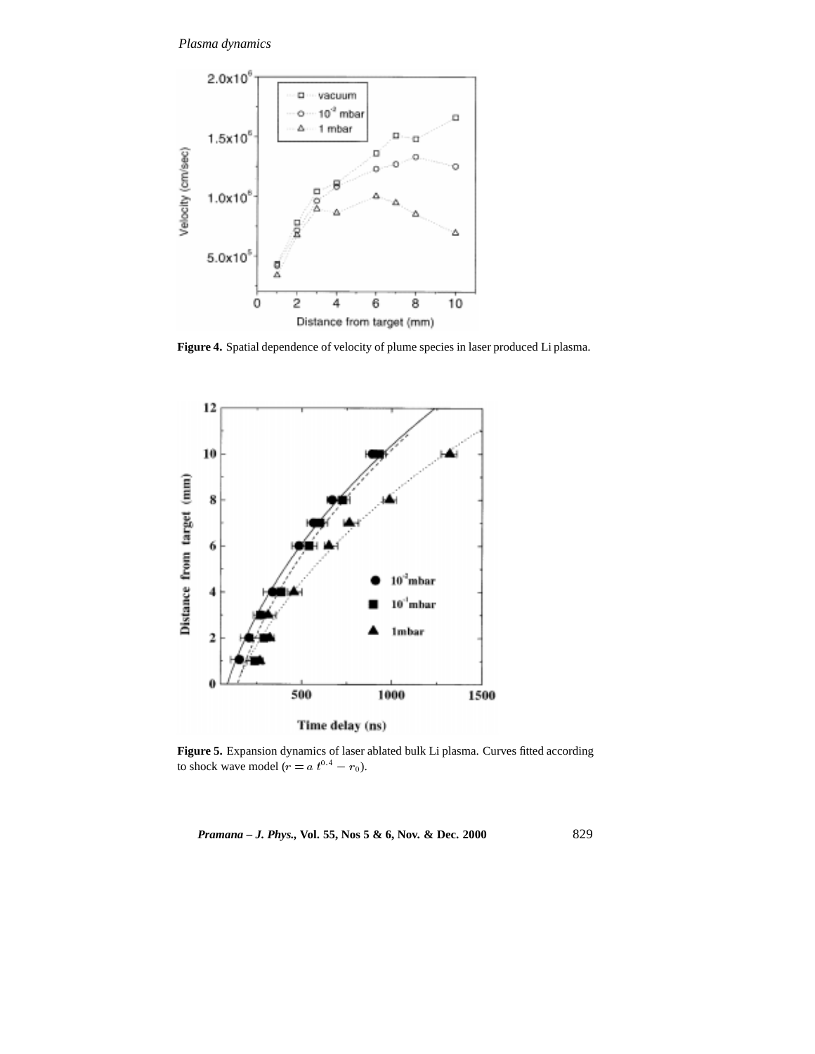

**Figure 4.** Spatial dependence of velocity of plume species in laser produced Li plasma.



**Figure 5.** Expansion dynamics of laser ablated bulk Li plasma. Curves fitted according to shock wave model ( $r = a t^{0.4} - r_0$ ).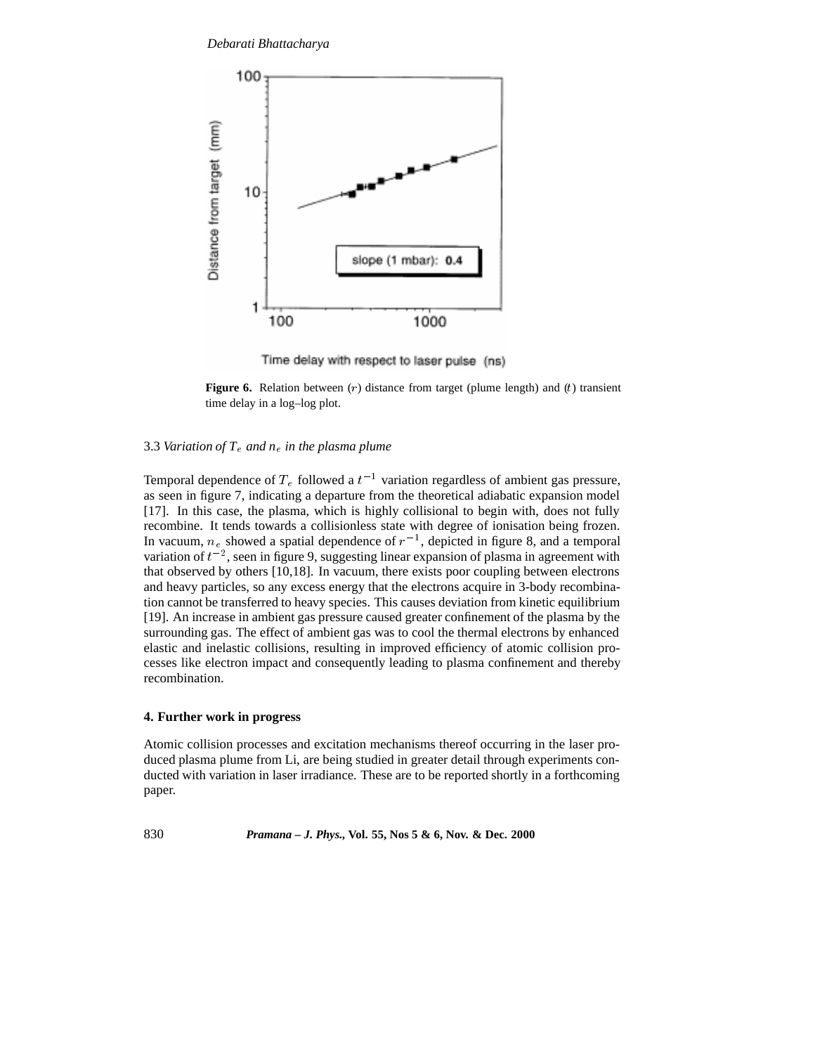*Debarati Bhattacharya*



Time delay with respect to laser pulse (ns)

**Figure 6.** Relation between (r) distance from target (plume length) and (t) transient time delay in a log–log plot.

### 3.3 *Variation of T*<sup>e</sup> *and n*<sup>e</sup> *in the plasma plume*

Temporal dependence of  $T_e$  followed a  $t^{-1}$  variation regardless of ambient gas pressure, as seen in figure 7, indicating a departure from the theoretical adiabatic expansion model [17]. In this case, the plasma, which is highly collisional to begin with, does not fully recombine. It tends towards a collisionless state with degree of ionisation being frozen. In vacuum,  $n_e$  showed a spatial dependence of  $r^{-1}$ , depicted in figure 8, and a temporal variation of  $t^{-2}$ , seen in figure 9, suggesting linear expansion of plasma in agreement with that observed by others [10,18]. In vacuum, there exists poor coupling between electrons and heavy particles, so any excess energy that the electrons acquire in 3-body recombination cannot be transferred to heavy species. This causes deviation from kinetic equilibrium [19]. An increase in ambient gas pressure caused greater confinement of the plasma by the surrounding gas. The effect of ambient gas was to cool the thermal electrons by enhanced elastic and inelastic collisions, resulting in improved efficiency of atomic collision processes like electron impact and consequently leading to plasma confinement and thereby recombination.

## **4. Further work in progress**

Atomic collision processes and excitation mechanisms thereof occurring in the laser produced plasma plume from Li, are being studied in greater detail through experiments conducted with variation in laser irradiance. These are to be reported shortly in a forthcoming paper.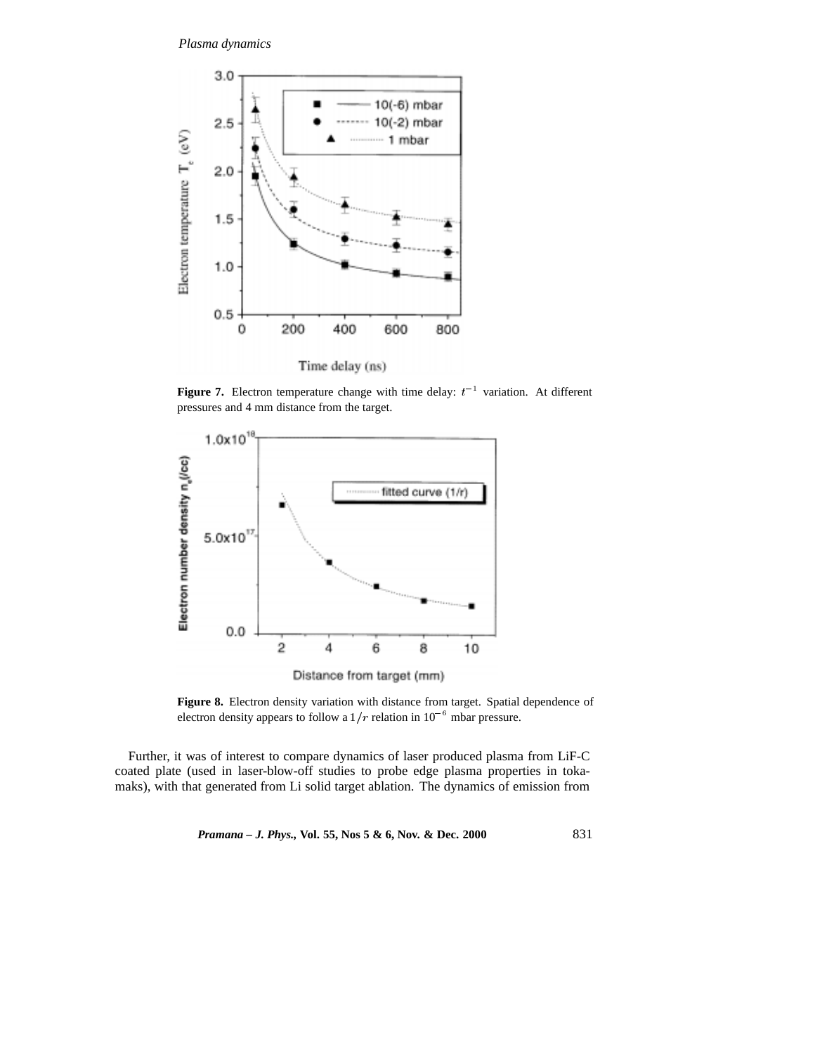

**Figure 7.** Electron temperature change with time delay:  $t^{-1}$  variation. At different pressures and 4 mm distance from the target.



Figure 8. Electron density variation with distance from target. Spatial dependence of electron density appears to follow a  $1/r$  relation in  $10^{-6}$  mbar pressure.

Further, it was of interest to compare dynamics of laser produced plasma from LiF-C coated plate (used in laser-blow-off studies to probe edge plasma properties in tokamaks), with that generated from Li solid target ablation. The dynamics of emission from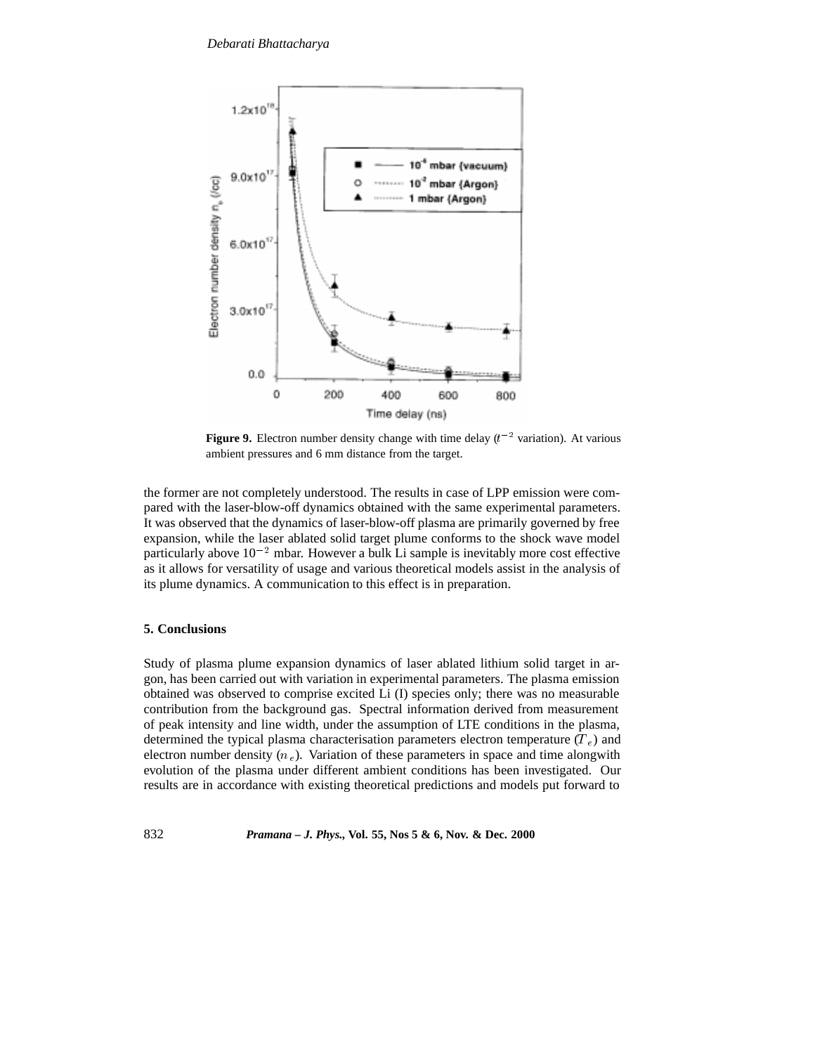

**Figure 9.** Electron number density change with time delay  $(t^{-2}$  variation). At various ambient pressures and 6 mm distance from the target.

the former are not completely understood. The results in case of LPP emission were compared with the laser-blow-off dynamics obtained with the same experimental parameters. It was observed that the dynamics of laser-blow-off plasma are primarily governed by free expansion, while the laser ablated solid target plume conforms to the shock wave model particularly above  $10^{-2}$  mbar. However a bulk Li sample is inevitably more cost effective as it allows for versatility of usage and various theoretical models assist in the analysis of its plume dynamics. A communication to this effect is in preparation.

# **5. Conclusions**

Study of plasma plume expansion dynamics of laser ablated lithium solid target in argon, has been carried out with variation in experimental parameters. The plasma emission obtained was observed to comprise excited Li (I) species only; there was no measurable contribution from the background gas. Spectral information derived from measurement of peak intensity and line width, under the assumption of LTE conditions in the plasma, determined the typical plasma characterisation parameters electron temperature  $(T_e)$  and electron number density  $(n_e)$ . Variation of these parameters in space and time alongwith evolution of the plasma under different ambient conditions has been investigated. Our results are in accordance with existing theoretical predictions and models put forward to